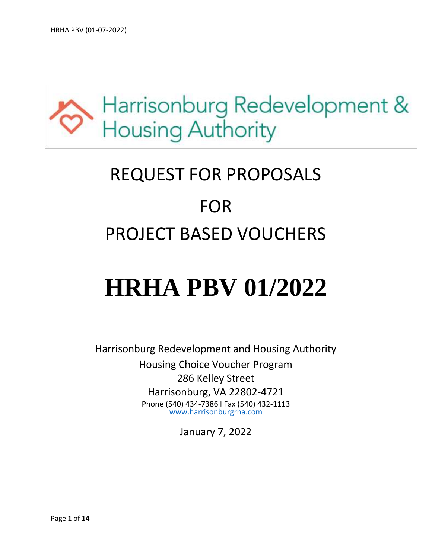

# REQUEST FOR PROPOSALS FOR PROJECT BASED VOUCHERS

# **HRHA PBV 01/2022**

Harrisonburg Redevelopment and Housing Authority Housing Choice Voucher Program 286 Kelley Street Harrisonburg, VA 22802-4721 Phone (540) 434-7386 l Fax (540) 432-1113 [www.harrisonburgrha.com](http://www.harrisonburgrha.com/)

January 7, 2022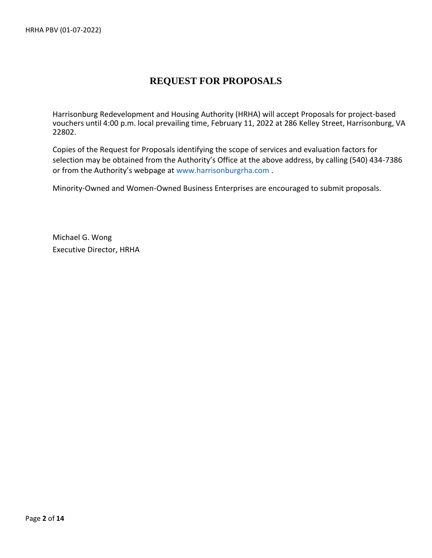# **REQUEST FOR PROPOSALS**

Harrisonburg Redevelopment and Housing Authority (HRHA) will accept Proposals for project-based vouchers until 4:00 p.m. local prevailing time, February 11, 2022 at 286 Kelley Street, Harrisonburg, VA 22802.

Copies of the Request for Proposals identifying the scope of services and evaluation factors for selection may be obtained from the Authority's Office at the above address, by calling (540) 434-7386 or from the Authority's webpage at [www.harrisonburgrha.com](http://www.harrisonburgrha.com/) .

Minority-Owned and Women-Owned Business Enterprises are encouraged to submit proposals.

Michael G. Wong Executive Director, HRHA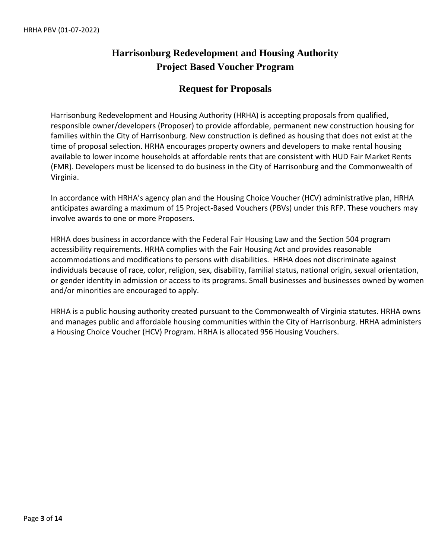# **Harrisonburg Redevelopment and Housing Authority Project Based Voucher Program**

## **Request for Proposals**

Harrisonburg Redevelopment and Housing Authority (HRHA) is accepting proposals from qualified, responsible owner/developers (Proposer) to provide affordable, permanent new construction housing for families within the City of Harrisonburg. New construction is defined as housing that does not exist at the time of proposal selection. HRHA encourages property owners and developers to make rental housing available to lower income households at affordable rents that are consistent with HUD Fair Market Rents (FMR). Developers must be licensed to do business in the City of Harrisonburg and the Commonwealth of Virginia.

In accordance with HRHA's agency plan and the Housing Choice Voucher (HCV) administrative plan, HRHA anticipates awarding a maximum of 15 Project-Based Vouchers (PBVs) under this RFP. These vouchers may involve awards to one or more Proposers.

HRHA does business in accordance with the Federal Fair Housing Law and the Section 504 program accessibility requirements. HRHA complies with the Fair Housing Act and provides reasonable accommodations and modifications to persons with disabilities. HRHA does not discriminate against individuals because of race, color, religion, sex, disability, familial status, national origin, sexual orientation, or gender identity in admission or access to its programs. Small businesses and businesses owned by women and/or minorities are encouraged to apply.

HRHA is a public housing authority created pursuant to the Commonwealth of Virginia statutes. HRHA owns and manages public and affordable housing communities within the City of Harrisonburg. HRHA administers a Housing Choice Voucher (HCV) Program. HRHA is allocated 956 Housing Vouchers.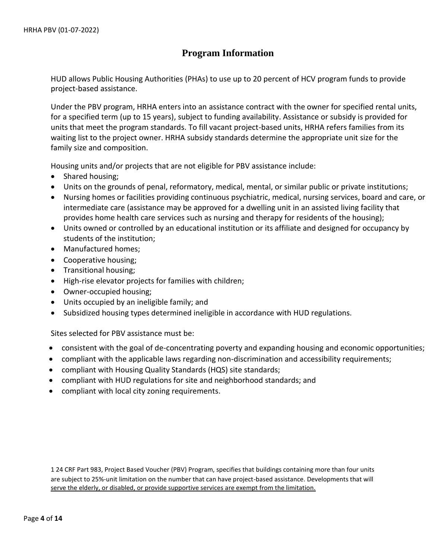## **Program Information**

HUD allows Public Housing Authorities (PHAs) to use up to 20 percent of HCV program funds to provide project-based assistance.

Under the PBV program, HRHA enters into an assistance contract with the owner for specified rental units, for a specified term (up to 15 years), subject to funding availability. Assistance or subsidy is provided for units that meet the program standards. To fill vacant project-based units, HRHA refers families from its waiting list to the project owner. HRHA subsidy standards determine the appropriate unit size for the family size and composition.

Housing units and/or projects that are not eligible for PBV assistance include:

- Shared housing;
- Units on the grounds of penal, reformatory, medical, mental, or similar public or private institutions;
- Nursing homes or facilities providing continuous psychiatric, medical, nursing services, board and care, or intermediate care (assistance may be approved for a dwelling unit in an assisted living facility that provides home health care services such as nursing and therapy for residents of the housing);
- Units owned or controlled by an educational institution or its affiliate and designed for occupancy by students of the institution;
- Manufactured homes;
- Cooperative housing;
- Transitional housing;
- High-rise elevator projects for families with children;
- Owner-occupied housing;
- Units occupied by an ineligible family; and
- Subsidized housing types determined ineligible in accordance with HUD regulations.

Sites selected for PBV assistance must be:

- consistent with the goal of de-concentrating poverty and expanding housing and economic opportunities;
- compliant with the applicable laws regarding non-discrimination and accessibility requirements;
- compliant with Housing Quality Standards (HQS) site standards;
- compliant with HUD regulations for site and neighborhood standards; and
- compliant with local city zoning requirements.

1 24 CRF Part 983, Project Based Voucher (PBV) Program, specifies that buildings containing more than four units are subject to 25%-unit limitation on the number that can have project-based assistance. Developments that will serve the elderly, or disabled, or provide supportive services are exempt from the limitation.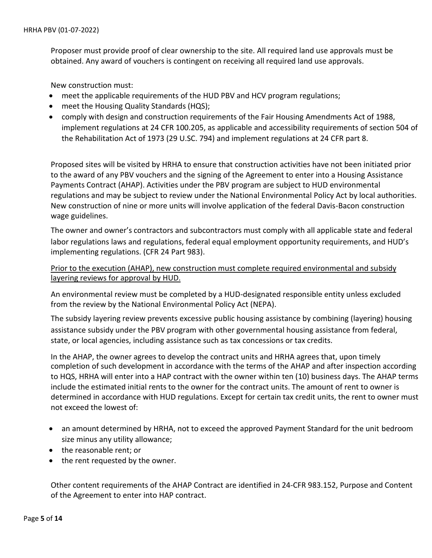Proposer must provide proof of clear ownership to the site. All required land use approvals must be obtained. Any award of vouchers is contingent on receiving all required land use approvals.

New construction must:

- meet the applicable requirements of the HUD PBV and HCV program regulations;
- meet the Housing Quality Standards (HQS);
- comply with design and construction requirements of the Fair Housing Amendments Act of 1988, implement regulations at 24 CFR 100.205, as applicable and accessibility requirements of section 504 of the Rehabilitation Act of 1973 (29 U.SC. 794) and implement regulations at 24 CFR part 8.

Proposed sites will be visited by HRHA to ensure that construction activities have not been initiated prior to the award of any PBV vouchers and the signing of the Agreement to enter into a Housing Assistance Payments Contract (AHAP). Activities under the PBV program are subject to HUD environmental regulations and may be subject to review under the National Environmental Policy Act by local authorities. New construction of nine or more units will involve application of the federal Davis-Bacon construction wage guidelines.

The owner and owner's contractors and subcontractors must comply with all applicable state and federal labor regulations laws and regulations, federal equal employment opportunity requirements, and HUD's implementing regulations. (CFR 24 Part 983).

Prior to the execution (AHAP), new construction must complete required environmental and subsidy layering reviews for approval by HUD.

An environmental review must be completed by a HUD-designated responsible entity unless excluded from the review by the National Environmental Policy Act (NEPA).

The subsidy layering review prevents excessive public housing assistance by combining (layering) housing assistance subsidy under the PBV program with other governmental housing assistance from federal, state, or local agencies, including assistance such as tax concessions or tax credits.

In the AHAP, the owner agrees to develop the contract units and HRHA agrees that, upon timely completion of such development in accordance with the terms of the AHAP and after inspection according to HQS, HRHA will enter into a HAP contract with the owner within ten (10) business days. The AHAP terms include the estimated initial rents to the owner for the contract units. The amount of rent to owner is determined in accordance with HUD regulations. Except for certain tax credit units, the rent to owner must not exceed the lowest of:

- an amount determined by HRHA, not to exceed the approved Payment Standard for the unit bedroom size minus any utility allowance;
- the reasonable rent; or
- the rent requested by the owner.

Other content requirements of the AHAP Contract are identified in 24-CFR 983.152, Purpose and Content of the Agreement to enter into HAP contract.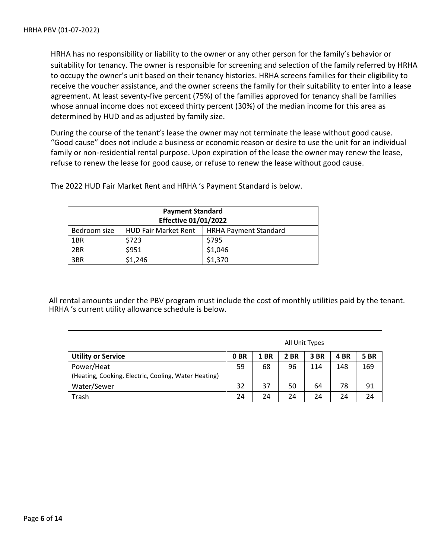HRHA has no responsibility or liability to the owner or any other person for the family's behavior or suitability for tenancy. The owner is responsible for screening and selection of the family referred by HRHA to occupy the owner's unit based on their tenancy histories. HRHA screens families for their eligibility to receive the voucher assistance, and the owner screens the family for their suitability to enter into a lease agreement. At least seventy-five percent (75%) of the families approved for tenancy shall be families whose annual income does not exceed thirty percent (30%) of the median income for this area as determined by HUD and as adjusted by family size.

During the course of the tenant's lease the owner may not terminate the lease without good cause. "Good cause" does not include a business or economic reason or desire to use the unit for an individual family or non-residential rental purpose. Upon expiration of the lease the owner may renew the lease, refuse to renew the lease for good cause, or refuse to renew the lease without good cause.

| <b>Payment Standard</b>                                                     |         |         |  |  |  |  |  |
|-----------------------------------------------------------------------------|---------|---------|--|--|--|--|--|
| <b>Effective 01/01/2022</b>                                                 |         |         |  |  |  |  |  |
| <b>HUD Fair Market Rent</b><br><b>HRHA Payment Standard</b><br>Bedroom size |         |         |  |  |  |  |  |
| 1BR                                                                         | \$723   | \$795   |  |  |  |  |  |
| 2BR                                                                         | \$951   | \$1,046 |  |  |  |  |  |
| 3BR                                                                         | \$1,246 | \$1,370 |  |  |  |  |  |

The 2022 HUD Fair Market Rent and HRHA 's Payment Standard is below.

All rental amounts under the PBV program must include the cost of monthly utilities paid by the tenant. HRHA 's current utility allowance schedule is below.

|                                                                    | All Unit Types  |             |             |      |      |             |
|--------------------------------------------------------------------|-----------------|-------------|-------------|------|------|-------------|
| <b>Utility or Service</b>                                          | 0 <sub>BR</sub> | <b>1 BR</b> | <b>2 BR</b> | 3 BR | 4 BR | <b>5 BR</b> |
| Power/Heat<br>(Heating, Cooking, Electric, Cooling, Water Heating) | 59              | 68          | 96          | 114  | 148  | 169         |
| Water/Sewer                                                        | 32              | 37          | 50          | 64   | 78   | 91          |
| Trash                                                              | 24              | 24          | 24          | 24   | 24   | 24          |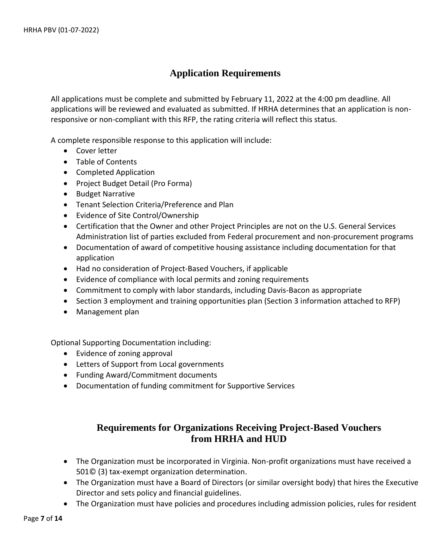## **Application Requirements**

All applications must be complete and submitted by February 11, 2022 at the 4:00 pm deadline. All applications will be reviewed and evaluated as submitted. If HRHA determines that an application is nonresponsive or non-compliant with this RFP, the rating criteria will reflect this status.

A complete responsible response to this application will include:

- Cover letter
- Table of Contents
- Completed Application
- Project Budget Detail (Pro Forma)
- Budget Narrative
- Tenant Selection Criteria/Preference and Plan
- Evidence of Site Control/Ownership
- Certification that the Owner and other Project Principles are not on the U.S. General Services Administration list of parties excluded from Federal procurement and non-procurement programs
- Documentation of award of competitive housing assistance including documentation for that application
- Had no consideration of Project-Based Vouchers, if applicable
- Evidence of compliance with local permits and zoning requirements
- Commitment to comply with labor standards, including Davis-Bacon as appropriate
- Section 3 employment and training opportunities plan (Section 3 information attached to RFP)
- Management plan

Optional Supporting Documentation including:

- Evidence of zoning approval
- Letters of Support from Local governments
- Funding Award/Commitment documents
- Documentation of funding commitment for Supportive Services

# **Requirements for Organizations Receiving Project-Based Vouchers from HRHA and HUD**

- The Organization must be incorporated in Virginia. Non-profit organizations must have received a 501© (3) tax-exempt organization determination.
- The Organization must have a Board of Directors (or similar oversight body) that hires the Executive Director and sets policy and financial guidelines.
- The Organization must have policies and procedures including admission policies, rules for resident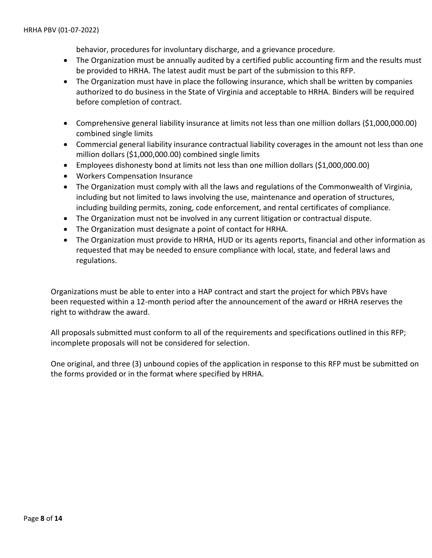behavior, procedures for involuntary discharge, and a grievance procedure.

- The Organization must be annually audited by a certified public accounting firm and the results must be provided to HRHA. The latest audit must be part of the submission to this RFP.
- The Organization must have in place the following insurance, which shall be written by companies authorized to do business in the State of Virginia and acceptable to HRHA. Binders will be required before completion of contract.
- Comprehensive general liability insurance at limits not less than one million dollars (\$1,000,000.00) combined single limits
- Commercial general liability insurance contractual liability coverages in the amount not less than one million dollars (\$1,000,000.00) combined single limits
- Employees dishonesty bond at limits not less than one million dollars (\$1,000,000.00)
- Workers Compensation Insurance
- The Organization must comply with all the laws and regulations of the Commonwealth of Virginia, including but not limited to laws involving the use, maintenance and operation of structures, including building permits, zoning, code enforcement, and rental certificates of compliance.
- The Organization must not be involved in any current litigation or contractual dispute.
- The Organization must designate a point of contact for HRHA.
- The Organization must provide to HRHA, HUD or its agents reports, financial and other information as requested that may be needed to ensure compliance with local, state, and federal laws and regulations.

Organizations must be able to enter into a HAP contract and start the project for which PBVs have been requested within a 12-month period after the announcement of the award or HRHA reserves the right to withdraw the award.

All proposals submitted must conform to all of the requirements and specifications outlined in this RFP; incomplete proposals will not be considered for selection.

One original, and three (3) unbound copies of the application in response to this RFP must be submitted on the forms provided or in the format where specified by HRHA.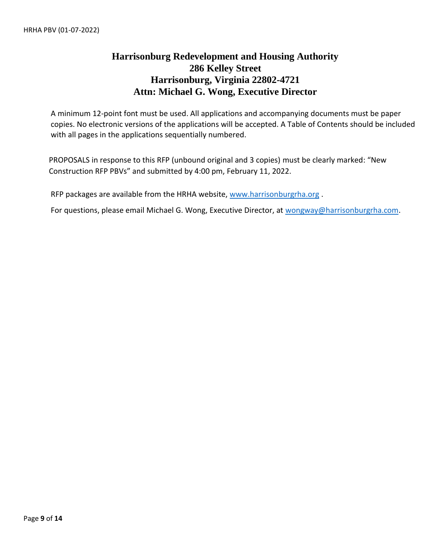# **Harrisonburg Redevelopment and Housing Authority 286 Kelley Street Harrisonburg, Virginia 22802-4721 Attn: Michael G. Wong, Executive Director**

A minimum 12-point font must be used. All applications and accompanying documents must be paper copies. No electronic versions of the applications will be accepted. A Table of Contents should be included with all pages in the applications sequentially numbered.

PROPOSALS in response to this RFP (unbound original and 3 copies) must be clearly marked: "New Construction RFP PBVs" and submitted by 4:00 pm, February 11, 2022.

RFP packages are available from the HRHA website, [www.harrisonburgrha.org](http://www.harrisonburgrha.org/) .

For questions, please email Michael G. Wong, Executive Director, at [wongway@harrisonburgrha.com.](mailto:wongway@harrisonburgrha.com)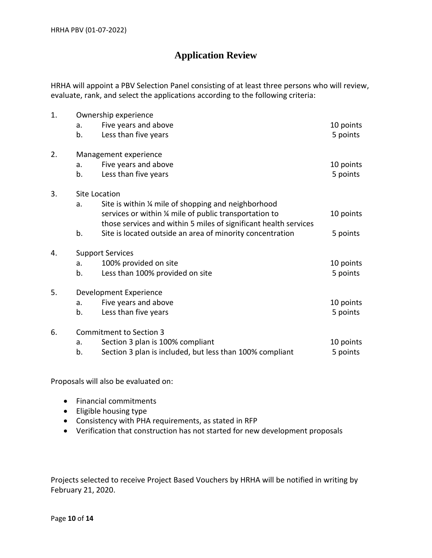# **Application Review**

HRHA will appoint a PBV Selection Panel consisting of at least three persons who will review, evaluate, rank, and select the applications according to the following criteria:

| 1. | Ownership experience |                                                                                                                                                                                   |           |  |  |  |  |  |
|----|----------------------|-----------------------------------------------------------------------------------------------------------------------------------------------------------------------------------|-----------|--|--|--|--|--|
|    | a.                   | Five years and above                                                                                                                                                              | 10 points |  |  |  |  |  |
|    | b.                   | Less than five years                                                                                                                                                              | 5 points  |  |  |  |  |  |
| 2. |                      | Management experience                                                                                                                                                             |           |  |  |  |  |  |
|    | a.                   | Five years and above                                                                                                                                                              | 10 points |  |  |  |  |  |
|    | b.                   | Less than five years                                                                                                                                                              | 5 points  |  |  |  |  |  |
| 3. |                      | Site Location                                                                                                                                                                     |           |  |  |  |  |  |
|    | a.                   | Site is within % mile of shopping and neighborhood<br>services or within 1/4 mile of public transportation to<br>those services and within 5 miles of significant health services | 10 points |  |  |  |  |  |
|    | b.                   | Site is located outside an area of minority concentration                                                                                                                         | 5 points  |  |  |  |  |  |
| 4. |                      | <b>Support Services</b>                                                                                                                                                           |           |  |  |  |  |  |
|    | a.                   | 100% provided on site                                                                                                                                                             | 10 points |  |  |  |  |  |
|    | b.                   | Less than 100% provided on site                                                                                                                                                   | 5 points  |  |  |  |  |  |
| 5. |                      | Development Experience                                                                                                                                                            |           |  |  |  |  |  |
|    | a.                   | Five years and above                                                                                                                                                              | 10 points |  |  |  |  |  |
|    | b.                   | Less than five years                                                                                                                                                              | 5 points  |  |  |  |  |  |
| 6. |                      | <b>Commitment to Section 3</b>                                                                                                                                                    |           |  |  |  |  |  |
|    | a.                   | Section 3 plan is 100% compliant                                                                                                                                                  | 10 points |  |  |  |  |  |
|    | b.                   | Section 3 plan is included, but less than 100% compliant                                                                                                                          | 5 points  |  |  |  |  |  |

Proposals will also be evaluated on:

- Financial commitments
- Eligible housing type
- Consistency with PHA requirements, as stated in RFP
- Verification that construction has not started for new development proposals

Projects selected to receive Project Based Vouchers by HRHA will be notified in writing by February 21, 2020.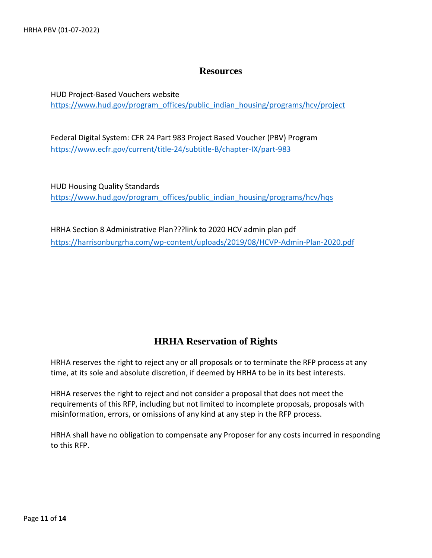#### **Resources**

HUD Project-Based Vouchers website [https://www.hud.gov/program\\_offices/public\\_indian\\_housing/programs/hcv/project](https://www.hud.gov/program_offices/public_indian_housing/programs/hcv/project) 

Federal Digital System: CFR 24 Part 983 Project Based Voucher (PBV) Program <https://www.ecfr.gov/current/title-24/subtitle-B/chapter-IX/part-983>

HUD Housing Quality Standards [https://www.hud.gov/program\\_offices/public\\_indian\\_housing/programs/hcv/hqs](https://www.hud.gov/program_offices/public_indian_housing/programs/hcv/hqs) 

HRHA Section 8 Administrative Plan???link to 2020 HCV admin plan pdf <https://harrisonburgrha.com/wp-content/uploads/2019/08/HCVP-Admin-Plan-2020.pdf>

#### **HRHA Reservation of Rights**

HRHA reserves the right to reject any or all proposals or to terminate the RFP process at any time, at its sole and absolute discretion, if deemed by HRHA to be in its best interests.

HRHA reserves the right to reject and not consider a proposal that does not meet the requirements of this RFP, including but not limited to incomplete proposals, proposals with misinformation, errors, or omissions of any kind at any step in the RFP process.

HRHA shall have no obligation to compensate any Proposer for any costs incurred in responding to this RFP.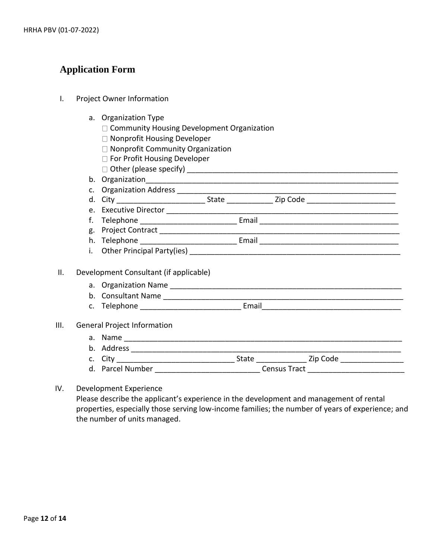## **Application Form**

- I. Project Owner Information
	- a. Organization Type
		- $\Box$  Community Housing Development Organization
		- □ Nonprofit Housing Developer
		- $\Box$  Nonprofit Community Organization
		- □ For Profit Housing Developer
		- Other (please specify) \_\_\_\_\_\_\_\_\_\_\_\_\_\_\_\_\_\_\_\_\_\_\_\_\_\_\_\_\_\_\_\_\_\_\_\_\_\_\_\_\_\_\_\_\_\_\_\_\_\_
	- b. Organization\_\_\_\_\_\_\_\_\_\_\_\_\_\_\_\_\_\_\_\_\_\_\_\_\_\_\_\_\_\_\_\_\_\_\_\_\_\_\_\_\_\_\_\_\_\_\_\_\_\_\_\_\_\_\_\_\_\_\_\_
	- c. Organization Address
	- d. City \_\_\_\_\_\_\_\_\_\_\_\_\_\_\_\_\_\_\_\_\_ State \_\_\_\_\_\_\_\_\_\_\_ Zip Code \_\_\_\_\_\_\_\_\_\_\_\_\_\_\_\_\_\_\_\_\_
	- e. Executive Director \_\_\_\_\_\_\_\_\_\_\_\_\_\_\_\_\_\_\_\_\_\_\_\_\_\_\_\_\_\_\_\_\_\_\_\_\_\_\_\_\_\_\_\_\_\_\_\_\_\_\_\_\_\_\_
	- f. Telephone \_\_\_\_\_\_\_\_\_\_\_\_\_\_\_\_\_\_\_\_\_\_\_ Email \_\_\_\_\_\_\_\_\_\_\_\_\_\_\_\_\_\_\_\_\_\_\_\_\_\_\_\_\_\_\_\_\_
	- g. Project Contract \_\_\_\_\_\_\_\_\_\_\_\_\_\_\_\_\_\_\_\_\_\_\_\_\_\_\_\_\_\_\_\_\_\_\_\_\_\_\_\_\_\_\_\_\_\_\_\_\_\_\_\_\_\_\_\_\_
	- h. Telephone **Email** Email **Email** 2008 and 2008 and 2008 and 2008 and 2008 and 2008 and 2008 and 2008 and 2008 and 2008 and 2008 and 2008 and 2008 and 2008 and 2008 and 2008 and 2008 and 2008 and 2008 and 2008 and 2008 an
	- i. Other Principal Party(ies) \_\_\_\_\_\_\_\_\_\_\_\_\_\_\_\_\_\_\_\_\_\_\_\_\_\_\_\_\_\_\_\_\_\_\_\_\_\_\_\_\_\_\_\_\_\_\_\_\_\_

#### II. Development Consultant (if applicable)

- a. Organization Name \_\_\_\_\_\_\_\_\_\_\_\_\_\_\_\_\_\_\_\_\_\_\_\_\_\_\_\_\_\_\_\_\_\_\_\_\_\_\_\_\_\_\_\_\_\_\_\_\_\_\_\_\_\_\_
- b. Consultant Name \_\_\_\_\_\_\_\_\_\_\_\_\_\_\_\_\_\_\_\_\_\_\_\_\_\_\_\_\_\_\_\_\_\_\_\_\_\_\_\_\_\_\_\_\_\_\_\_\_\_\_\_\_\_\_\_\_ c. Telephone **Email**
- 

#### III. General Project Information

## a. Name \_\_\_\_\_\_\_\_\_\_\_\_\_\_\_\_\_\_\_\_\_\_\_\_\_\_\_\_\_\_\_\_\_\_\_\_\_\_\_\_\_\_\_\_\_\_\_\_\_\_\_\_\_\_\_\_\_\_\_\_\_\_\_\_\_\_

- b. Address \_\_\_\_\_\_\_\_\_\_\_\_\_\_\_\_\_\_\_\_\_\_\_\_\_\_\_\_\_\_\_\_\_\_\_\_\_\_\_\_\_\_\_\_\_\_\_\_\_\_\_\_\_\_\_\_\_\_\_\_\_\_\_\_ c. City \_\_\_\_\_\_\_\_\_\_\_\_\_\_\_\_\_\_\_\_\_\_\_\_\_\_\_\_ State \_\_\_\_\_\_\_\_\_\_\_\_ Zip Code \_\_\_\_\_\_\_\_\_\_\_\_\_\_\_
- d. Parcel Number \_\_\_\_\_\_\_\_\_\_\_\_\_\_\_\_\_\_\_\_\_\_\_\_\_\_\_\_\_\_\_\_Census Tract \_\_\_\_\_\_\_\_\_\_\_\_\_\_\_\_\_\_\_

#### IV. Development Experience

Please describe the applicant's experience in the development and management of rental properties, especially those serving low-income families; the number of years of experience; and the number of units managed.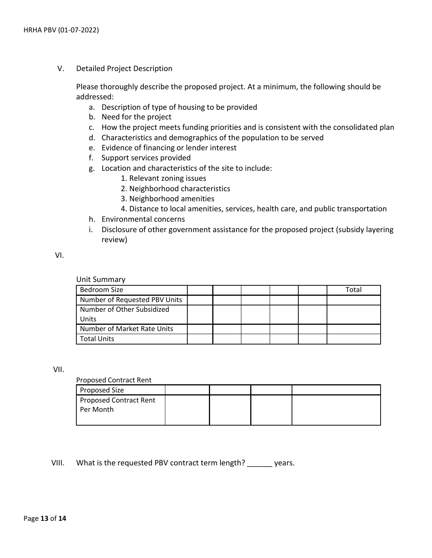V. Detailed Project Description

Please thoroughly describe the proposed project. At a minimum, the following should be addressed:

- a. Description of type of housing to be provided
- b. Need for the project
- c. How the project meets funding priorities and is consistent with the consolidated plan
- d. Characteristics and demographics of the population to be served
- e. Evidence of financing or lender interest
- f. Support services provided
- g. Location and characteristics of the site to include:
	- 1. Relevant zoning issues
	- 2. Neighborhood characteristics
	- 3. Neighborhood amenities
	- 4. Distance to local amenities, services, health care, and public transportation
- h. Environmental concerns
- i. Disclosure of other government assistance for the proposed project (subsidy layering review)

VI.

Unit Summary

| Bedroom Size                  |  |  | Total |
|-------------------------------|--|--|-------|
| Number of Requested PBV Units |  |  |       |
| Number of Other Subsidized    |  |  |       |
| l Units                       |  |  |       |
| Number of Market Rate Units   |  |  |       |
| Total Units                   |  |  |       |

VII.

Proposed Contract Rent

| Proposed Size                 |  |  |
|-------------------------------|--|--|
| <b>Proposed Contract Rent</b> |  |  |
| Per Month                     |  |  |
|                               |  |  |

VIII. What is the requested PBV contract term length? vears.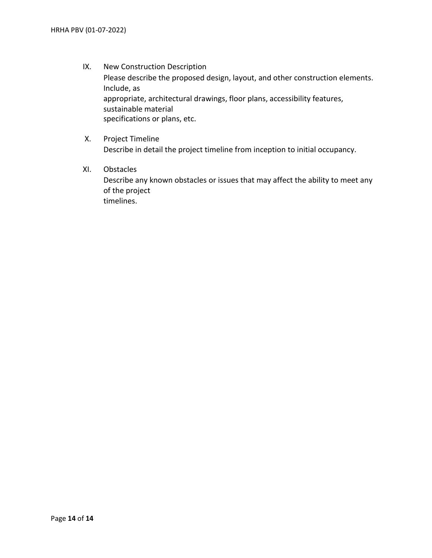- IX. New Construction Description Please describe the proposed design, layout, and other construction elements. Include, as appropriate, architectural drawings, floor plans, accessibility features, sustainable material specifications or plans, etc.
- X. Project Timeline Describe in detail the project timeline from inception to initial occupancy.
- XI. Obstacles Describe any known obstacles or issues that may affect the ability to meet any of the project timelines.